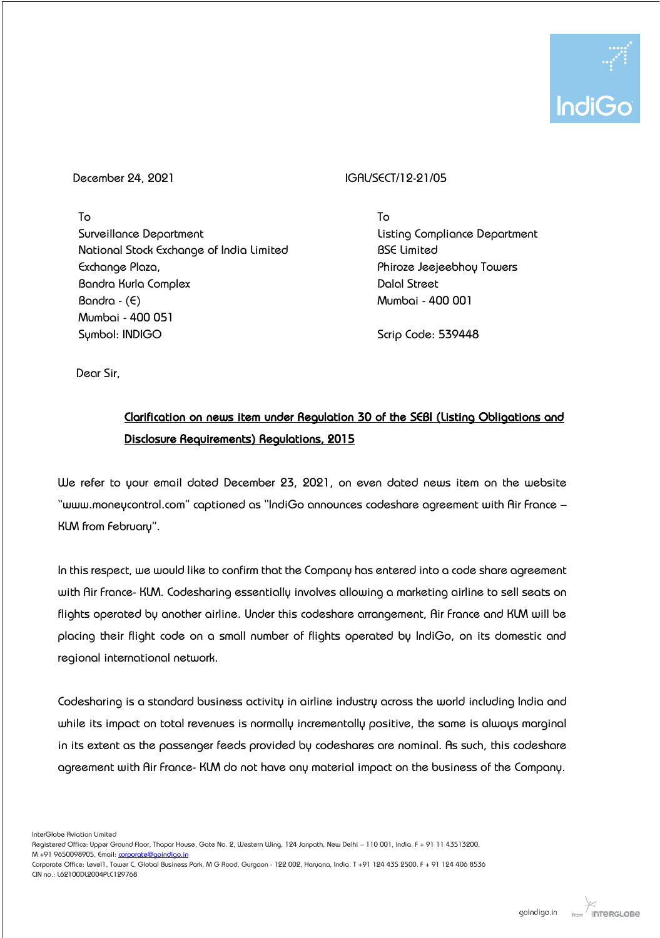

To Surveillance Department National Stock Exchange of India Limited Exchange Plaza, Bandra Kurla Complex  $Bandra - (E)$ Mumbai - 400 051 Symbol: INDIGO

## December 24, 2021 **IGAL/SECT/12-21/05**

To Listing Compliance Department BSE Limited Phiroze Jeejeebhoy Towers Dalal Street Mumbai - 400 001

Scrip Code: 539448

Dear Sir,

## : Clarification on news item under Regulation 30 of the SEBI (Listing Obligations and Disclosure Requirements) Regulations, 2015

We refer to your email dated December 23, 2021, on even dated news item on the website "www.moneycontrol.com" captioned as "IndiGo announces codeshare agreement with Air France – KLM from February".

In this respect, we would like to confirm that the Company has entered into a code share agreement with Air France- KLM. Codesharing essentially involves allowing a marketing airline to sell seats on flights operated by another airline. Under this codeshare arrangement, Air France and KLM will be placing their flight code on a small number of flights operated by IndiGo, on its domestic and regional international network.

Codesharing is a standard business activity in airline industry across the world including India and while its impact on total revenues is normally incrementally positive, the same is always marginal in its extent as the passenger feeds provided by codeshares are nominal. As such, this codeshare agreement with Air France- KLM do not have any material impact on the business of the Company.

InterGlobe Aviation Limited

Registered Office: Upper Ground Floor, Thapar House, Gate No. 2, Western Wing, 124 Janpath, New Delhi - 110 001, India. F + 91 11 43513200, M +91 9650098905, Email[: corporate@goindigo.in](mailto:corporate@goindigo.in)

Corporate Office: Level1, Tower C, Global Business Park, M G Road, Gurgaon - 122 002, Haryana, India. T +91 124 435 2500. F + 91 124 406 8536 CIN no.: L62100DL2004PLC129768